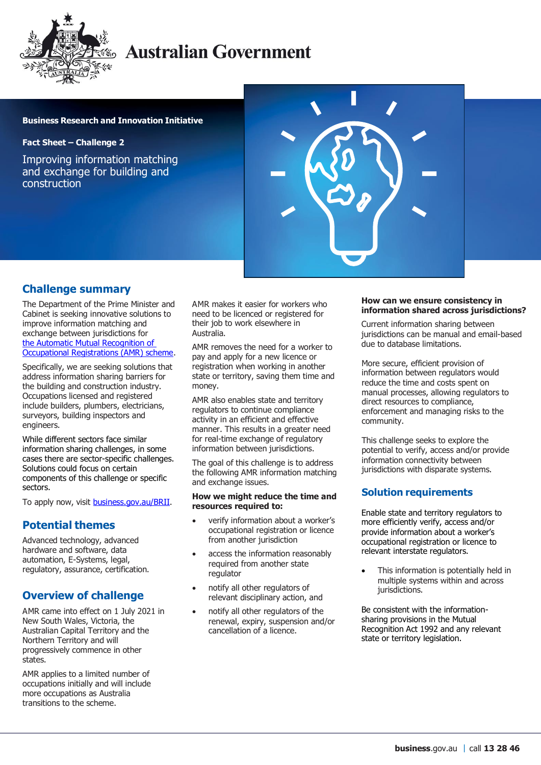

# **Australian Government**

#### **Business Research and Innovation Initiative**

**Fact Sheet – Challenge 2**

Improving information matching and exchange for building and construction



### **Challenge summary**

The Department of the Prime Minister and Cabinet is seeking innovative solutions to improve information matching and exchange between jurisdictions for [the Automatic Mutual Recognition of](https://deregulation.pmc.gov.au/priorities/improving-occupational-mobility)  [Occupational Registrations \(AMR\) scheme.](https://deregulation.pmc.gov.au/priorities/improving-occupational-mobility)

Specifically, we are seeking solutions that address information sharing barriers for the building and construction industry. Occupations licensed and registered include builders, plumbers, electricians, surveyors, building inspectors and engineers.

While different sectors face similar information sharing challenges, in some cases there are sector-specific challenges. Solutions could focus on certain components of this challenge or specific sectors.

To apply now, visit **business.gov.au/BRII.** 

### **Potential themes**

Advanced technology, advanced hardware and software, data automation, E-Systems, legal, regulatory, assurance, certification.

## **Overview of challenge**

AMR came into effect on 1 July 2021 in New South Wales, Victoria, the Australian Capital Territory and the Northern Territory and will progressively commence in other states.

AMR applies to a limited number of occupations initially and will include more occupations as Australia transitions to the scheme.

AMR makes it easier for workers who need to be licenced or registered for their job to work elsewhere in Australia.

AMR removes the need for a worker to pay and apply for a new licence or registration when working in another state or territory, saving them time and money.

AMR also enables state and territory regulators to continue compliance activity in an efficient and effective manner. This results in a greater need for real-time exchange of regulatory information between jurisdictions.

The goal of this challenge is to address the following AMR information matching and exchange issues.

#### **How we might reduce the time and resources required to:**

- verify information about a worker's occupational registration or licence from another jurisdiction
- access the information reasonably required from another state regulator
- notify all other regulators of relevant disciplinary action, and
- notify all other regulators of the renewal, expiry, suspension and/or cancellation of a licence.

#### **How can we ensure consistency in information shared across jurisdictions?**

Current information sharing between jurisdictions can be manual and email-based due to database limitations.

More secure, efficient provision of information between regulators would reduce the time and costs spent on manual processes, allowing regulators to direct resources to compliance, enforcement and managing risks to the community.

This challenge seeks to explore the potential to verify, access and/or provide information connectivity between jurisdictions with disparate systems.

### **Solution requirements**

Enable state and territory regulators to more efficiently verify, access and/or provide information about a worker's occupational registration or licence to relevant interstate regulators.

 This information is potentially held in multiple systems within and across jurisdictions.

Be consistent with the informationsharing provisions in the Mutual Recognition Act 1992 and any relevant state or territory legislation.